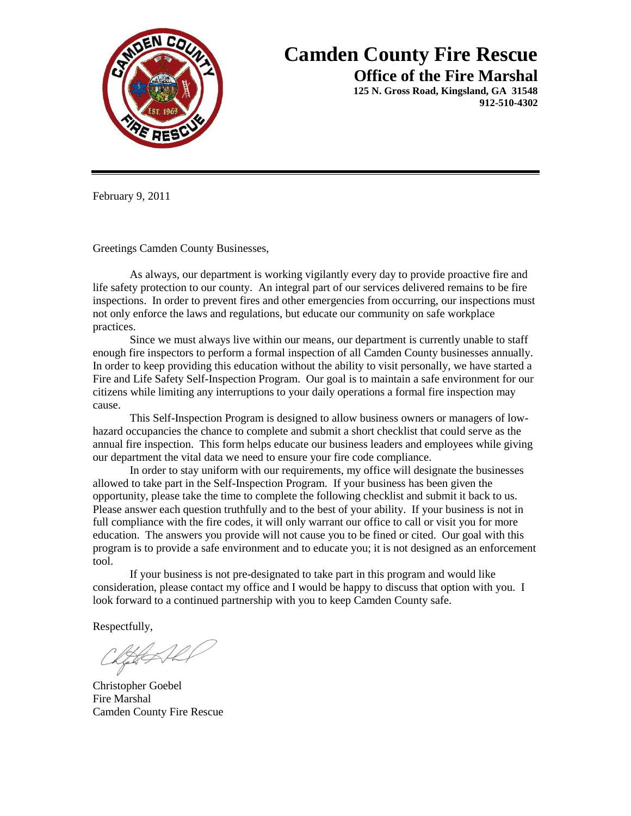

## **Camden County Fire Rescue**

**Office of the Fire Marshal**

**125 N. Gross Road, Kingsland, GA 31548 912-510-4302**

February 9, 2011

Greetings Camden County Businesses,

As always, our department is working vigilantly every day to provide proactive fire and life safety protection to our county. An integral part of our services delivered remains to be fire inspections. In order to prevent fires and other emergencies from occurring, our inspections must not only enforce the laws and regulations, but educate our community on safe workplace practices.

Since we must always live within our means, our department is currently unable to staff enough fire inspectors to perform a formal inspection of all Camden County businesses annually. In order to keep providing this education without the ability to visit personally, we have started a Fire and Life Safety Self-Inspection Program. Our goal is to maintain a safe environment for our citizens while limiting any interruptions to your daily operations a formal fire inspection may cause.

This Self-Inspection Program is designed to allow business owners or managers of lowhazard occupancies the chance to complete and submit a short checklist that could serve as the annual fire inspection. This form helps educate our business leaders and employees while giving our department the vital data we need to ensure your fire code compliance.

In order to stay uniform with our requirements, my office will designate the businesses allowed to take part in the Self-Inspection Program. If your business has been given the opportunity, please take the time to complete the following checklist and submit it back to us. Please answer each question truthfully and to the best of your ability. If your business is not in full compliance with the fire codes, it will only warrant our office to call or visit you for more education. The answers you provide will not cause you to be fined or cited. Our goal with this program is to provide a safe environment and to educate you; it is not designed as an enforcement tool.

If your business is not pre-designated to take part in this program and would like consideration, please contact my office and I would be happy to discuss that option with you. I look forward to a continued partnership with you to keep Camden County safe.

Respectfully,

Christopher Goebel Fire Marshal Camden County Fire Rescue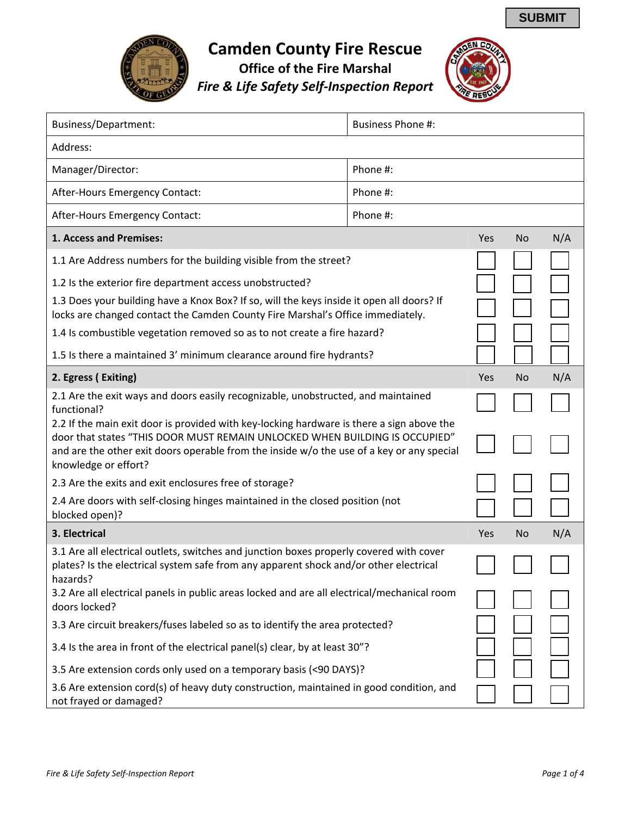

## **Camden County Fire Rescue**

**Office of the Fire Marshal** *Fire & Life Safety Self‐Inspection Report*



| Business/Department:                                                                                                                                                                                                                                                                          | <b>Business Phone #:</b> |     |           |     |
|-----------------------------------------------------------------------------------------------------------------------------------------------------------------------------------------------------------------------------------------------------------------------------------------------|--------------------------|-----|-----------|-----|
| Address:                                                                                                                                                                                                                                                                                      |                          |     |           |     |
| Manager/Director:                                                                                                                                                                                                                                                                             | Phone #:                 |     |           |     |
| After-Hours Emergency Contact:                                                                                                                                                                                                                                                                | Phone #:                 |     |           |     |
| After-Hours Emergency Contact:                                                                                                                                                                                                                                                                | Phone #:                 |     |           |     |
| 1. Access and Premises:                                                                                                                                                                                                                                                                       |                          | Yes | No        | N/A |
| 1.1 Are Address numbers for the building visible from the street?                                                                                                                                                                                                                             |                          |     |           |     |
| 1.2 Is the exterior fire department access unobstructed?                                                                                                                                                                                                                                      |                          |     |           |     |
| 1.3 Does your building have a Knox Box? If so, will the keys inside it open all doors? If<br>locks are changed contact the Camden County Fire Marshal's Office immediately.                                                                                                                   |                          |     |           |     |
| 1.4 Is combustible vegetation removed so as to not create a fire hazard?                                                                                                                                                                                                                      |                          |     |           |     |
| 1.5 Is there a maintained 3' minimum clearance around fire hydrants?                                                                                                                                                                                                                          |                          |     |           |     |
| 2. Egress (Exiting)                                                                                                                                                                                                                                                                           |                          | Yes | No        | N/A |
| 2.1 Are the exit ways and doors easily recognizable, unobstructed, and maintained<br>functional?                                                                                                                                                                                              |                          |     |           |     |
| 2.2 If the main exit door is provided with key-locking hardware is there a sign above the<br>door that states "THIS DOOR MUST REMAIN UNLOCKED WHEN BUILDING IS OCCUPIED"<br>and are the other exit doors operable from the inside w/o the use of a key or any special<br>knowledge or effort? |                          |     |           |     |
| 2.3 Are the exits and exit enclosures free of storage?                                                                                                                                                                                                                                        |                          |     |           |     |
| 2.4 Are doors with self-closing hinges maintained in the closed position (not<br>blocked open)?                                                                                                                                                                                               |                          |     |           |     |
| 3. Electrical                                                                                                                                                                                                                                                                                 |                          | Yes | <b>No</b> | N/A |
| 3.1 Are all electrical outlets, switches and junction boxes properly covered with cover<br>plates? Is the electrical system safe from any apparent shock and/or other electrical<br>hazards?                                                                                                  |                          |     |           |     |
| 3.2 Are all electrical panels in public areas locked and are all electrical/mechanical room<br>doors locked?                                                                                                                                                                                  |                          |     |           |     |
| 3.3 Are circuit breakers/fuses labeled so as to identify the area protected?                                                                                                                                                                                                                  |                          |     |           |     |
| 3.4 Is the area in front of the electrical panel(s) clear, by at least 30"?                                                                                                                                                                                                                   |                          |     |           |     |
| 3.5 Are extension cords only used on a temporary basis (<90 DAYS)?                                                                                                                                                                                                                            |                          |     |           |     |
| 3.6 Are extension cord(s) of heavy duty construction, maintained in good condition, and<br>not frayed or damaged?                                                                                                                                                                             |                          |     |           |     |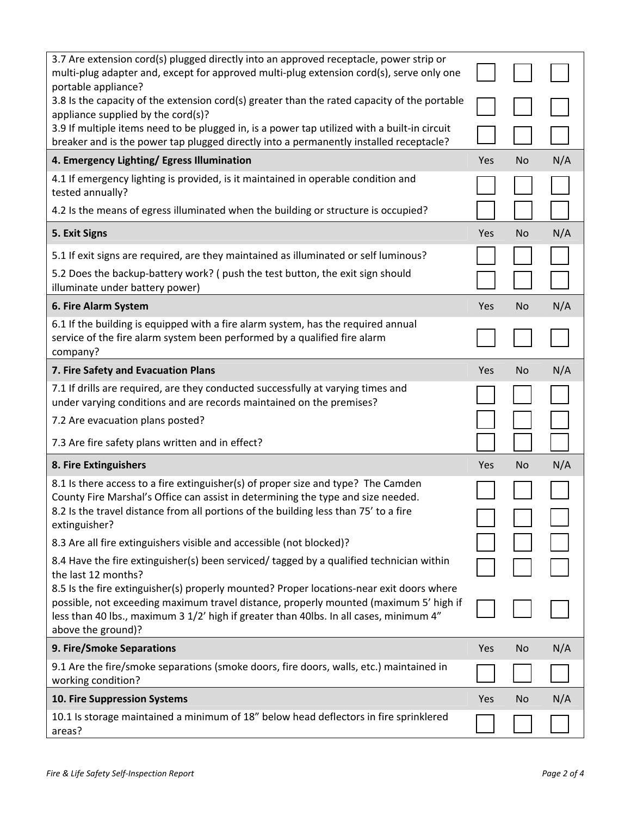| 3.7 Are extension cord(s) plugged directly into an approved receptacle, power strip or<br>multi-plug adapter and, except for approved multi-plug extension cord(s), serve only one                                                                                                                |     |                |     |
|---------------------------------------------------------------------------------------------------------------------------------------------------------------------------------------------------------------------------------------------------------------------------------------------------|-----|----------------|-----|
| portable appliance?<br>3.8 Is the capacity of the extension cord(s) greater than the rated capacity of the portable<br>appliance supplied by the cord(s)?                                                                                                                                         |     |                |     |
| 3.9 If multiple items need to be plugged in, is a power tap utilized with a built-in circuit<br>breaker and is the power tap plugged directly into a permanently installed receptacle?                                                                                                            |     |                |     |
| 4. Emergency Lighting/ Egress Illumination                                                                                                                                                                                                                                                        | Yes | N <sub>o</sub> | N/A |
| 4.1 If emergency lighting is provided, is it maintained in operable condition and<br>tested annually?                                                                                                                                                                                             |     |                |     |
| 4.2 Is the means of egress illuminated when the building or structure is occupied?                                                                                                                                                                                                                |     |                |     |
| 5. Exit Signs                                                                                                                                                                                                                                                                                     | Yes | <b>No</b>      | N/A |
| 5.1 If exit signs are required, are they maintained as illuminated or self luminous?                                                                                                                                                                                                              |     |                |     |
| 5.2 Does the backup-battery work? (push the test button, the exit sign should<br>illuminate under battery power)                                                                                                                                                                                  |     |                |     |
| 6. Fire Alarm System                                                                                                                                                                                                                                                                              | Yes | <b>No</b>      | N/A |
| 6.1 If the building is equipped with a fire alarm system, has the required annual<br>service of the fire alarm system been performed by a qualified fire alarm<br>company?                                                                                                                        |     |                |     |
| 7. Fire Safety and Evacuation Plans                                                                                                                                                                                                                                                               | Yes | No             | N/A |
| 7.1 If drills are required, are they conducted successfully at varying times and<br>under varying conditions and are records maintained on the premises?                                                                                                                                          |     |                |     |
| 7.2 Are evacuation plans posted?                                                                                                                                                                                                                                                                  |     |                |     |
| 7.3 Are fire safety plans written and in effect?                                                                                                                                                                                                                                                  |     |                |     |
| 8. Fire Extinguishers                                                                                                                                                                                                                                                                             | Yes | No             | N/A |
| 8.1 Is there access to a fire extinguisher(s) of proper size and type? The Camden<br>County Fire Marshal's Office can assist in determining the type and size needed.<br>8.2 Is the travel distance from all portions of the building less than 75' to a fire<br>extinguisher?                    |     |                |     |
| 8.3 Are all fire extinguishers visible and accessible (not blocked)?                                                                                                                                                                                                                              |     |                |     |
| 8.4 Have the fire extinguisher(s) been serviced/ tagged by a qualified technician within<br>the last 12 months?                                                                                                                                                                                   |     |                |     |
| 8.5 Is the fire extinguisher(s) properly mounted? Proper locations-near exit doors where<br>possible, not exceeding maximum travel distance, properly mounted (maximum 5' high if<br>less than 40 lbs., maximum 3 1/2' high if greater than 40lbs. In all cases, minimum 4"<br>above the ground)? |     |                |     |
| 9. Fire/Smoke Separations                                                                                                                                                                                                                                                                         | Yes | No             | N/A |
| 9.1 Are the fire/smoke separations (smoke doors, fire doors, walls, etc.) maintained in<br>working condition?                                                                                                                                                                                     |     |                |     |
| 10. Fire Suppression Systems                                                                                                                                                                                                                                                                      | Yes | <b>No</b>      | N/A |
| 10.1 Is storage maintained a minimum of 18" below head deflectors in fire sprinklered<br>areas?                                                                                                                                                                                                   |     |                |     |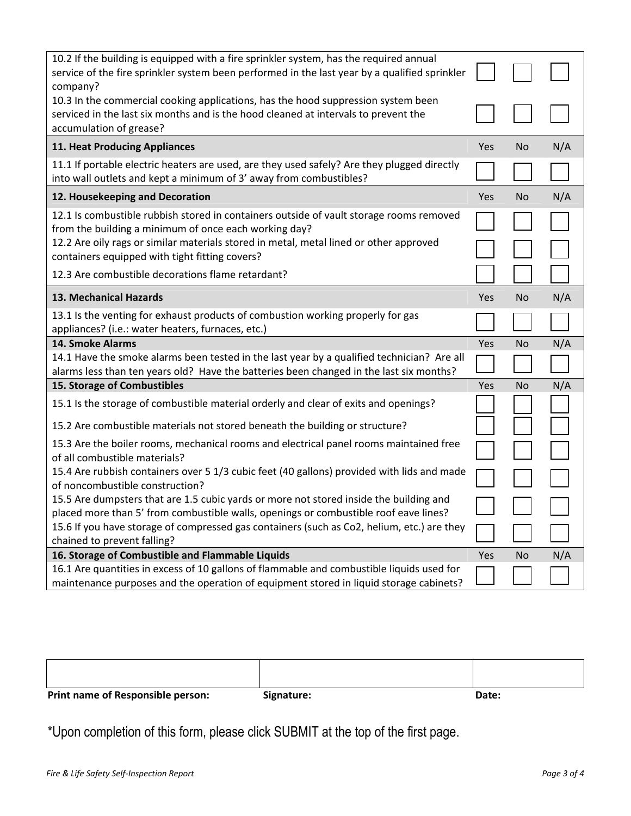| 10.2 If the building is equipped with a fire sprinkler system, has the required annual<br>service of the fire sprinkler system been performed in the last year by a qualified sprinkler<br>company? |            |           |     |
|-----------------------------------------------------------------------------------------------------------------------------------------------------------------------------------------------------|------------|-----------|-----|
| 10.3 In the commercial cooking applications, has the hood suppression system been<br>serviced in the last six months and is the hood cleaned at intervals to prevent the<br>accumulation of grease? |            |           |     |
| 11. Heat Producing Appliances                                                                                                                                                                       | <b>Yes</b> | No.       | N/A |
| 11.1 If portable electric heaters are used, are they used safely? Are they plugged directly<br>into wall outlets and kept a minimum of 3' away from combustibles?                                   |            |           |     |
| 12. Housekeeping and Decoration                                                                                                                                                                     | Yes        | <b>No</b> | N/A |
| 12.1 Is combustible rubbish stored in containers outside of vault storage rooms removed<br>from the building a minimum of once each working day?                                                    |            |           |     |
| 12.2 Are oily rags or similar materials stored in metal, metal lined or other approved<br>containers equipped with tight fitting covers?                                                            |            |           |     |
| 12.3 Are combustible decorations flame retardant?                                                                                                                                                   |            |           |     |
| 13. Mechanical Hazards                                                                                                                                                                              | Yes        | <b>No</b> | N/A |
| 13.1 Is the venting for exhaust products of combustion working properly for gas<br>appliances? (i.e.: water heaters, furnaces, etc.)                                                                |            |           |     |
| 14. Smoke Alarms                                                                                                                                                                                    | Yes        | <b>No</b> | N/A |
| 14.1 Have the smoke alarms been tested in the last year by a qualified technician? Are all<br>alarms less than ten years old? Have the batteries been changed in the last six months?               |            |           |     |
| 15. Storage of Combustibles                                                                                                                                                                         |            | <b>No</b> | N/A |
| 15.1 Is the storage of combustible material orderly and clear of exits and openings?                                                                                                                |            |           |     |
| 15.2 Are combustible materials not stored beneath the building or structure?                                                                                                                        |            |           |     |
| 15.3 Are the boiler rooms, mechanical rooms and electrical panel rooms maintained free<br>of all combustible materials?                                                                             |            |           |     |
| 15.4 Are rubbish containers over 5 1/3 cubic feet (40 gallons) provided with lids and made<br>of noncombustible construction?                                                                       |            |           |     |
| 15.5 Are dumpsters that are 1.5 cubic yards or more not stored inside the building and<br>placed more than 5' from combustible walls, openings or combustible roof eave lines?                      |            |           |     |
| 15.6 If you have storage of compressed gas containers (such as Co2, helium, etc.) are they<br>chained to prevent falling?                                                                           |            |           |     |
| 16. Storage of Combustible and Flammable Liquids                                                                                                                                                    | Yes        | <b>No</b> | N/A |
| 16.1 Are quantities in excess of 10 gallons of flammable and combustible liquids used for<br>maintenance purposes and the operation of equipment stored in liquid storage cabinets?                 |            |           |     |

| Print name of Responsible person: | Signature: | Date: |
|-----------------------------------|------------|-------|

\*Upon completion of this form, please click SUBMIT at the top of the first page.